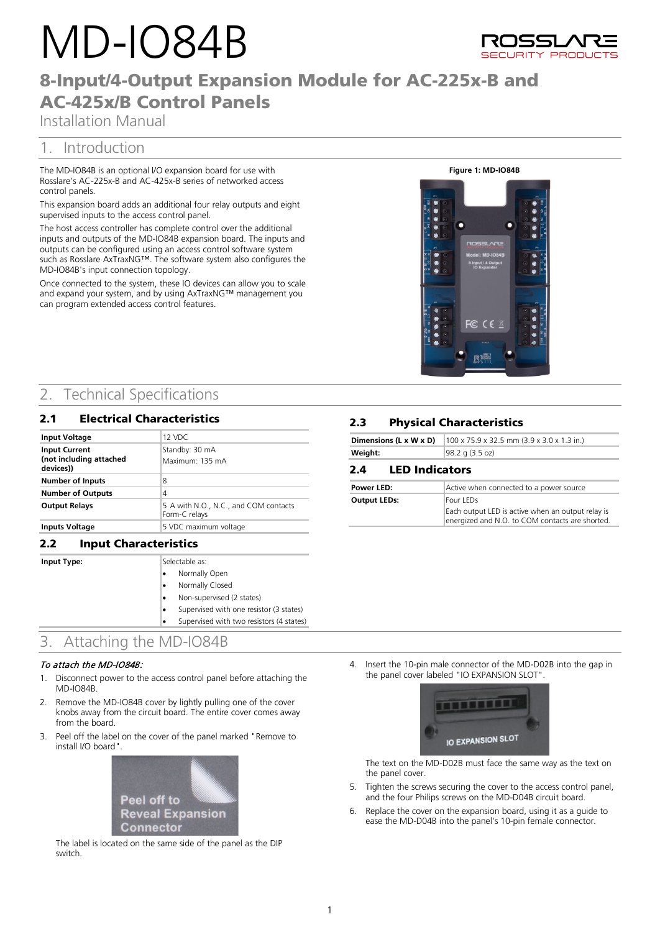# MD-IO84B



# 8-Input/4-Output Expansion Module for AC-225x-B and AC-425x/B Control Panels

Installation Manual

# 1. Introduction

The MD-IO84B is an optional I/O expansion board for use with Rosslare's AC-225x-B and AC-425x-B series of networked access control panels.

This expansion board adds an additional four relay outputs and eight supervised inputs to the access control panel.

The host access controller has complete control over the additional inputs and outputs of the MD-IO84B expansion board. The inputs and outputs can be configured using an access control software system such as Rosslare AxTraxNG™. The software system also configures the MD-IO84B's input connection topology.

Once connected to the system, these IO devices can allow you to scale and expand your system, and by using AxTraxNG™ management you can program extended access control features.

#### **Figure 1: MD-IO84B**



# 2. Technical Specifications

| <b>Electrical Characteristics</b><br>2.1                     |  |                                                        |
|--------------------------------------------------------------|--|--------------------------------------------------------|
| <b>Input Voltage</b>                                         |  | 12 VDC                                                 |
| <b>Input Current</b><br>(not including attached<br>devices)) |  | Standby: 30 mA<br>Maximum: 135 mA                      |
| <b>Number of Inputs</b>                                      |  | 8                                                      |
| <b>Number of Outputs</b>                                     |  | 4                                                      |
| <b>Output Relays</b>                                         |  | 5 A with N.O., N.C., and COM contacts<br>Form-C relays |
| <b>Inputs Voltage</b>                                        |  | 5 VDC maximum voltage                                  |

## **2.2 Input Charact**

**Input Type:** 

| eristics: |                                          |  |  |  |
|-----------|------------------------------------------|--|--|--|
|           | Selectable as:                           |  |  |  |
|           | Normally Open                            |  |  |  |
|           | Normally Closed                          |  |  |  |
|           | Non-supervised (2 states)                |  |  |  |
|           | Supervised with one resistor (3 states)  |  |  |  |
|           | Supervised with two resistors (4 states) |  |  |  |

# 3. Attaching the MD-IO84B

#### To attach the MD-IO84B:

- 1. Disconnect power to the access control panel before attaching the MD-IO84B.
- 2. Remove the MD-IO84B cover by lightly pulling one of the cover knobs away from the circuit board. The entire cover comes away from the board.
- 3. Peel off the label on the cover of the panel marked "Remove to install I/O board".



The label is located on the same side of the panel as the DIP switch.

## **2.3** Physical Characteristics

| Dimensions (L x W x D)       | 100 x 75.9 x 32.5 mm (3.9 x 3.0 x 1.3 in.)                                                           |  |  |
|------------------------------|------------------------------------------------------------------------------------------------------|--|--|
| Weight:                      | 98.2 g (3.5 oz)                                                                                      |  |  |
| <b>LED Indicators</b><br>2.4 |                                                                                                      |  |  |
| Power LED:                   | Active when connected to a power source                                                              |  |  |
| <b>Output LEDs:</b>          | Four LEDs                                                                                            |  |  |
|                              | Each output LED is active when an output relay is<br>energized and N.O. to COM contacts are shorted. |  |  |

4. Insert the 10-pin male connector of the MD-D02B into the gap in the panel cover labeled "IO EXPANSION SLOT".



The text on the MD-D02B must face the same way as the text on the panel cover.

- 5. Tighten the screws securing the cover to the access control panel, and the four Philips screws on the MD-D04B circuit board.
- 6. Replace the cover on the expansion board, using it as a guide to ease the MD-D04B into the panel's 10-pin female connector.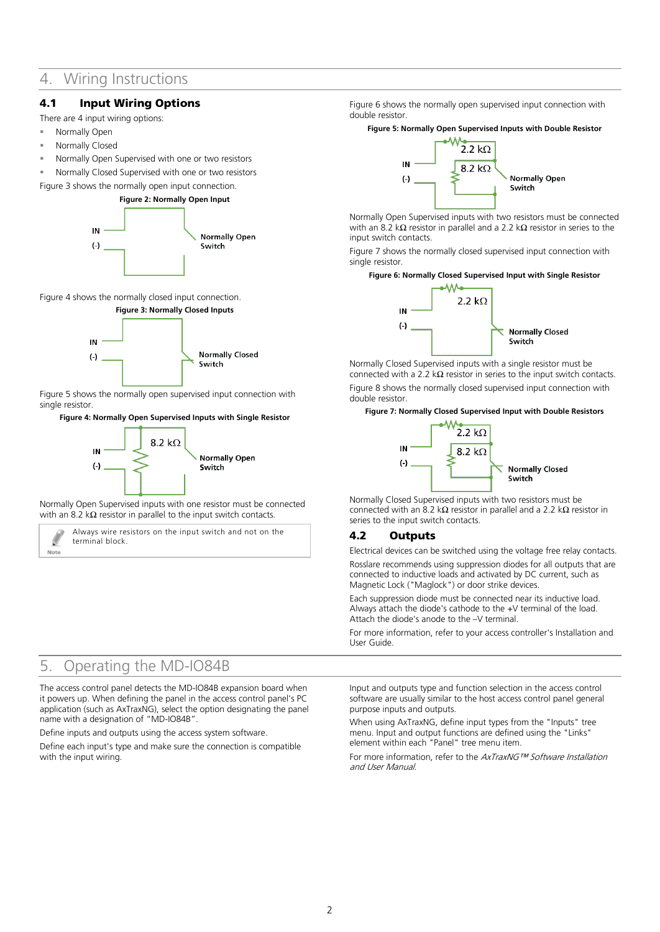## 4. Wiring Instructions

## 4.1 Input Wiring Options

There are 4 input wiring options:

- Normally Open
- Normally Closed
- Normally Open Supervised with one or two resistors
- Normally Closed Supervised with one or two resistors

<span id="page-1-0"></span>[Figure 3](#page-1-0) shows the normally open input connection.





<span id="page-1-1"></span>[Figure 4](#page-1-1) shows the normally closed input connection.



[Figure 5](#page-1-2) shows the normally open supervised input connection with single resistor.

#### <span id="page-1-2"></span>**Figure 4: Normally Open Supervised Inputs with Single Resistor**



Normally Open Supervised inputs with one resistor must be connected with an 8.2 k $\Omega$  resistor in parallel to the input switch contacts.

Always wire resistors on the input switch and not on the terminal block.

#### [Figure 6](#page-1-3) shows the normally open supervised input connection with double resistor.

#### <span id="page-1-3"></span>**Figure 5: Normally Open Supervised Inputs with Double Resistor**



Normally Open Supervised inputs with two resistors must be connected with an 8.2 kΩ resistor in parallel and a 2.2 kΩ resistor in series to the input switch contacts.

[Figure 7](#page-1-4) shows the normally closed supervised input connection with single resistor.

#### <span id="page-1-4"></span>**Figure 6: Normally Closed Supervised Input with Single Resistor**



Normally Closed Supervised inputs with a single resistor must be connected with a 2.2 k $\Omega$  resistor in series to the input switch contacts. [Figure 8](#page-1-5) shows the normally closed supervised input connection with double resistor.

#### <span id="page-1-5"></span>**Figure 7: Normally Closed Supervised Input with Double Resistors**



Normally Closed Supervised inputs with two resistors must be connected with an 8.2 kΩ resistor in parallel and a 2.2 kΩ resistor in series to the input switch contacts.

## 4.2 Outputs

Electrical devices can be switched using the voltage free relay contacts.

Rosslare recommends using suppression diodes for all outputs that are connected to inductive loads and activated by DC current, such as Magnetic Lock ("Maglock") or door strike devices.

Each suppression diode must be connected near its inductive load. Always attach the diode's cathode to the +V terminal of the load. Attach the diode's anode to the –V terminal.

For more information, refer to your access controller's Installation and User Guide.

## 5. Operating the MD-IO84B

Note

The access control panel detects the MD-IO84B expansion board when it powers up. When defining the panel in the access control panel's PC application (such as AxTraxNG), select the option designating the panel name with a designation of "MD-IO84B".

Define inputs and outputs using the access system software.

Define each input's type and make sure the connection is compatible with the input wiring.

Input and outputs type and function selection in the access control software are usually similar to the host access control panel general purpose inputs and outputs.

When using AxTraxNG, define input types from the "Inputs" tree menu. Input and output functions are defined using the "Links" element within each "Panel" tree menu item.

For more information, refer to the AxTraxNG™ Software Installation and User Manual.